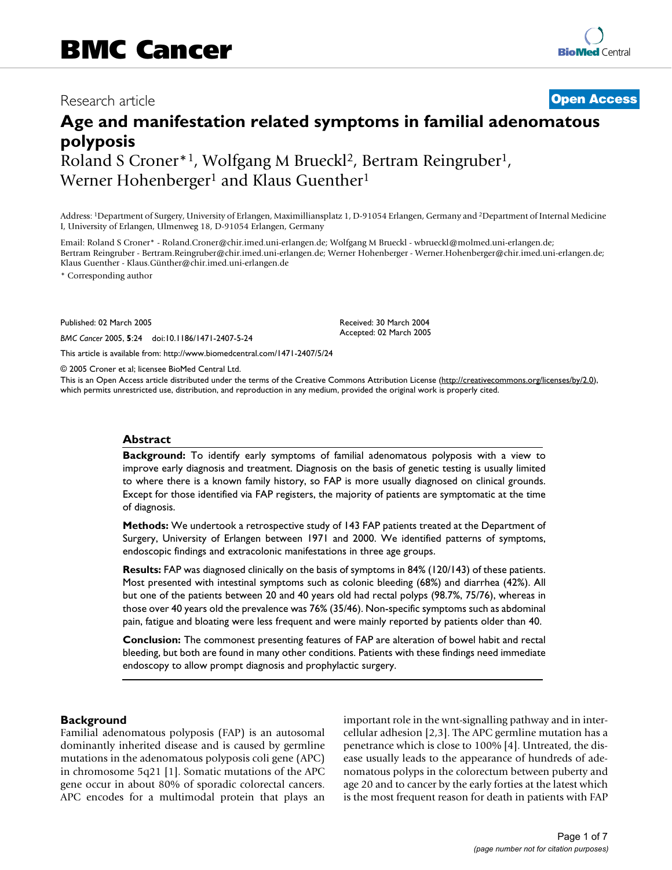## Research article **[Open Access](http://www.biomedcentral.com/info/about/charter/)**

# **Age and manifestation related symptoms in familial adenomatous polyposis**

Roland S Croner<sup>\*1</sup>, Wolfgang M Brueck<sup>2</sup>, Bertram Reingruber<sup>1</sup>, Werner Hohenberger<sup>1</sup> and Klaus Guenther<sup>1</sup>

Address: 1Department of Surgery, University of Erlangen, Maximilliansplatz 1, D-91054 Erlangen, Germany and 2Department of Internal Medicine I, University of Erlangen, Ulmenweg 18, D-91054 Erlangen, Germany

Email: Roland S Croner\* - Roland.Croner@chir.imed.uni-erlangen.de; Wolfgang M Brueckl - wbrueckl@molmed.uni-erlangen.de; Bertram Reingruber - Bertram.Reingruber@chir.imed.uni-erlangen.de; Werner Hohenberger - Werner.Hohenberger@chir.imed.uni-erlangen.de; Klaus Guenther - Klaus.Günther@chir.imed.uni-erlangen.de

> Received: 30 March 2004 Accepted: 02 March 2005

\* Corresponding author

Published: 02 March 2005

*BMC Cancer* 2005, **5**:24 doi:10.1186/1471-2407-5-24

[This article is available from: http://www.biomedcentral.com/1471-2407/5/24](http://www.biomedcentral.com/1471-2407/5/24)

© 2005 Croner et al; licensee BioMed Central Ltd.

This is an Open Access article distributed under the terms of the Creative Commons Attribution License [\(http://creativecommons.org/licenses/by/2.0\)](http://creativecommons.org/licenses/by/2.0), which permits unrestricted use, distribution, and reproduction in any medium, provided the original work is properly cited.

#### **Abstract**

**Background:** To identify early symptoms of familial adenomatous polyposis with a view to improve early diagnosis and treatment. Diagnosis on the basis of genetic testing is usually limited to where there is a known family history, so FAP is more usually diagnosed on clinical grounds. Except for those identified via FAP registers, the majority of patients are symptomatic at the time of diagnosis.

**Methods:** We undertook a retrospective study of 143 FAP patients treated at the Department of Surgery, University of Erlangen between 1971 and 2000. We identified patterns of symptoms, endoscopic findings and extracolonic manifestations in three age groups.

**Results:** FAP was diagnosed clinically on the basis of symptoms in 84% (120/143) of these patients. Most presented with intestinal symptoms such as colonic bleeding (68%) and diarrhea (42%). All but one of the patients between 20 and 40 years old had rectal polyps (98.7%, 75/76), whereas in those over 40 years old the prevalence was 76% (35/46). Non-specific symptoms such as abdominal pain, fatigue and bloating were less frequent and were mainly reported by patients older than 40.

**Conclusion:** The commonest presenting features of FAP are alteration of bowel habit and rectal bleeding, but both are found in many other conditions. Patients with these findings need immediate endoscopy to allow prompt diagnosis and prophylactic surgery.

#### **Background**

Familial adenomatous polyposis (FAP) is an autosomal dominantly inherited disease and is caused by germline mutations in the adenomatous polyposis coli gene (APC) in chromosome 5q21 [1]. Somatic mutations of the APC gene occur in about 80% of sporadic colorectal cancers. APC encodes for a multimodal protein that plays an important role in the wnt-signalling pathway and in intercellular adhesion [2,3]. The APC germline mutation has a penetrance which is close to 100% [4]. Untreated, the disease usually leads to the appearance of hundreds of adenomatous polyps in the colorectum between puberty and age 20 and to cancer by the early forties at the latest which is the most frequent reason for death in patients with FAP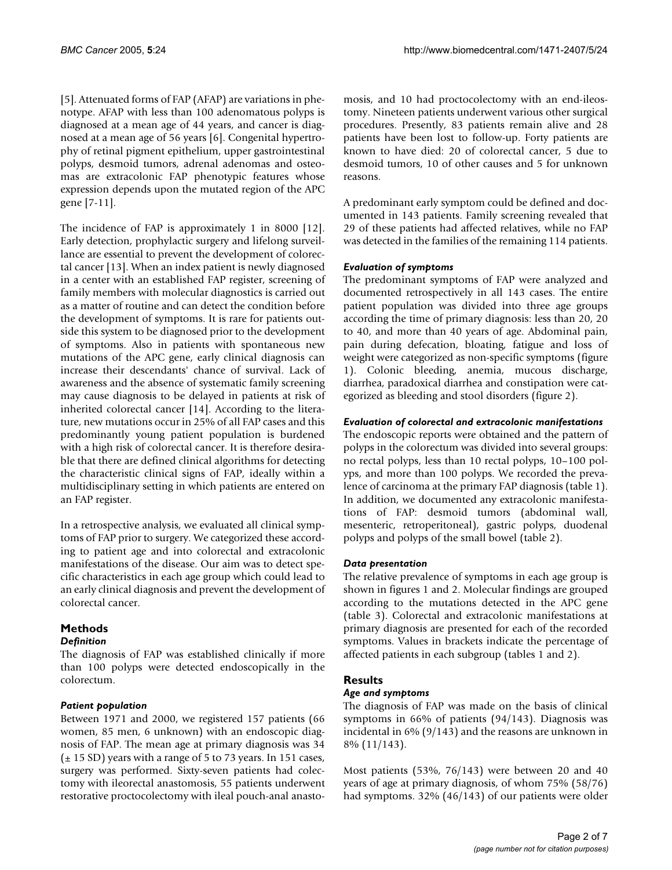[5]. Attenuated forms of FAP (AFAP) are variations in phenotype. AFAP with less than 100 adenomatous polyps is diagnosed at a mean age of 44 years, and cancer is diagnosed at a mean age of 56 years [6]. Congenital hypertrophy of retinal pigment epithelium, upper gastrointestinal polyps, desmoid tumors, adrenal adenomas and osteomas are extracolonic FAP phenotypic features whose expression depends upon the mutated region of the APC gene [7-11].

The incidence of FAP is approximately 1 in 8000 [12]. Early detection, prophylactic surgery and lifelong surveillance are essential to prevent the development of colorectal cancer [13]. When an index patient is newly diagnosed in a center with an established FAP register, screening of family members with molecular diagnostics is carried out as a matter of routine and can detect the condition before the development of symptoms. It is rare for patients outside this system to be diagnosed prior to the development of symptoms. Also in patients with spontaneous new mutations of the APC gene, early clinical diagnosis can increase their descendants' chance of survival. Lack of awareness and the absence of systematic family screening may cause diagnosis to be delayed in patients at risk of inherited colorectal cancer [14]. According to the literature, new mutations occur in 25% of all FAP cases and this predominantly young patient population is burdened with a high risk of colorectal cancer. It is therefore desirable that there are defined clinical algorithms for detecting the characteristic clinical signs of FAP, ideally within a multidisciplinary setting in which patients are entered on an FAP register.

In a retrospective analysis, we evaluated all clinical symptoms of FAP prior to surgery. We categorized these according to patient age and into colorectal and extracolonic manifestations of the disease. Our aim was to detect specific characteristics in each age group which could lead to an early clinical diagnosis and prevent the development of colorectal cancer.

# **Methods**

## *Definition*

The diagnosis of FAP was established clinically if more than 100 polyps were detected endoscopically in the colorectum.

## *Patient population*

Between 1971 and 2000, we registered 157 patients (66 women, 85 men, 6 unknown) with an endoscopic diagnosis of FAP. The mean age at primary diagnosis was 34 (± 15 SD) years with a range of 5 to 73 years. In 151 cases, surgery was performed. Sixty-seven patients had colectomy with ileorectal anastomosis, 55 patients underwent restorative proctocolectomy with ileal pouch-anal anastomosis, and 10 had proctocolectomy with an end-ileostomy. Nineteen patients underwent various other surgical procedures. Presently, 83 patients remain alive and 28 patients have been lost to follow-up. Forty patients are known to have died: 20 of colorectal cancer, 5 due to desmoid tumors, 10 of other causes and 5 for unknown reasons.

A predominant early symptom could be defined and documented in 143 patients. Family screening revealed that 29 of these patients had affected relatives, while no FAP was detected in the families of the remaining 114 patients.

## *Evaluation of symptoms*

The predominant symptoms of FAP were analyzed and documented retrospectively in all 143 cases. The entire patient population was divided into three age groups according the time of primary diagnosis: less than 20, 20 to 40, and more than 40 years of age. Abdominal pain, pain during defecation, bloating, fatigue and loss of weight were categorized as non-specific symptoms (figure 1). Colonic bleeding, anemia, mucous discharge, diarrhea, paradoxical diarrhea and constipation were categorized as bleeding and stool disorders (figure 2).

## *Evaluation of colorectal and extracolonic manifestations*

The endoscopic reports were obtained and the pattern of polyps in the colorectum was divided into several groups: no rectal polyps, less than 10 rectal polyps, 10–100 polyps, and more than 100 polyps. We recorded the prevalence of carcinoma at the primary FAP diagnosis (table [1\)](#page-3-0). In addition, we documented any extracolonic manifestations of FAP: desmoid tumors (abdominal wall, mesenteric, retroperitoneal), gastric polyps, duodenal polyps and polyps of the small bowel (table [2](#page-4-0)).

## *Data presentation*

The relative prevalence of symptoms in each age group is shown in figures 1 and 2. Molecular findings are grouped according to the mutations detected in the APC gene (table [3](#page-4-1)). Colorectal and extracolonic manifestations at primary diagnosis are presented for each of the recorded symptoms. Values in brackets indicate the percentage of affected patients in each subgroup (tables [1](#page-3-0) and [2](#page-4-0)).

## **Results**

## *Age and symptoms*

The diagnosis of FAP was made on the basis of clinical symptoms in 66% of patients (94/143). Diagnosis was incidental in 6% (9/143) and the reasons are unknown in 8% (11/143).

Most patients (53%, 76/143) were between 20 and 40 years of age at primary diagnosis, of whom 75% (58/76) had symptoms. 32% (46/143) of our patients were older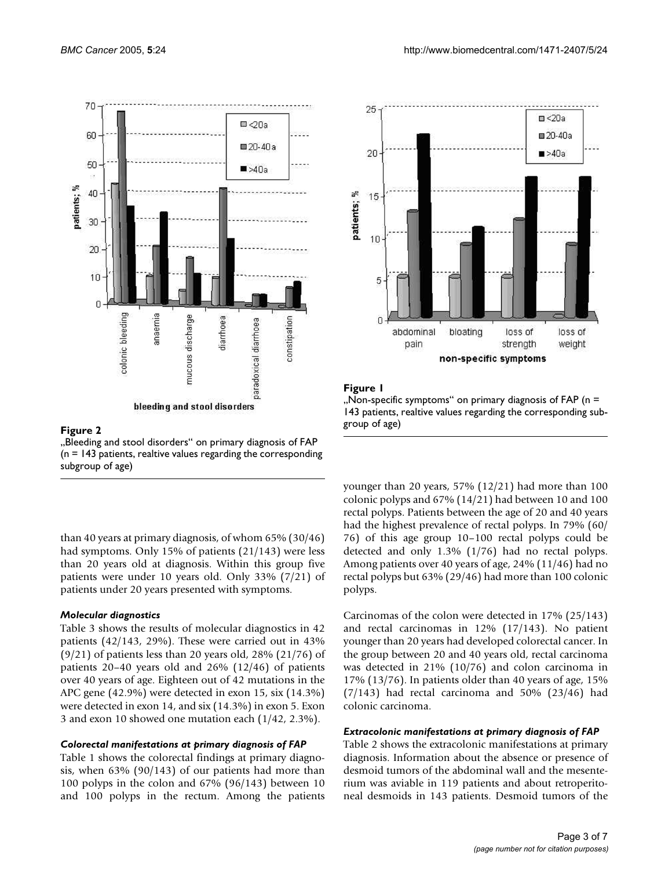

#### Figure 2

"Bleeding and stool disorders" on primary diagnosis of FAP  $(n = 143$  patients, realtive values regarding the corresponding subgroup of age)

than 40 years at primary diagnosis, of whom 65% (30/46) had symptoms. Only 15% of patients (21/143) were less than 20 years old at diagnosis. Within this group five patients were under 10 years old. Only 33% (7/21) of patients under 20 years presented with symptoms.

#### *Molecular diagnostics*

Table [3](#page-4-1) shows the results of molecular diagnostics in 42 patients (42/143, 29%). These were carried out in 43% (9/21) of patients less than 20 years old, 28% (21/76) of patients 20–40 years old and 26% (12/46) of patients over 40 years of age. Eighteen out of 42 mutations in the APC gene (42.9%) were detected in exon 15, six (14.3%) were detected in exon 14, and six (14.3%) in exon 5. Exon 3 and exon 10 showed one mutation each (1/42, 2.3%).

#### *Colorectal manifestations at primary diagnosis of FAP*

Table [1](#page-3-0) shows the colorectal findings at primary diagnosis, when 63% (90/143) of our patients had more than 100 polyps in the colon and 67% (96/143) between 10 and 100 polyps in the rectum. Among the patients



#### Figure 1



younger than 20 years, 57% (12/21) had more than 100 colonic polyps and 67% (14/21) had between 10 and 100 rectal polyps. Patients between the age of 20 and 40 years had the highest prevalence of rectal polyps. In 79% (60/ 76) of this age group 10–100 rectal polyps could be detected and only 1.3% (1/76) had no rectal polyps. Among patients over 40 years of age, 24% (11/46) had no rectal polyps but 63% (29/46) had more than 100 colonic polyps.

Carcinomas of the colon were detected in 17% (25/143) and rectal carcinomas in 12% (17/143). No patient younger than 20 years had developed colorectal cancer. In the group between 20 and 40 years old, rectal carcinoma was detected in 21% (10/76) and colon carcinoma in 17% (13/76). In patients older than 40 years of age, 15% (7/143) had rectal carcinoma and 50% (23/46) had colonic carcinoma.

#### *Extracolonic manifestations at primary diagnosis of FAP*

Table [2](#page-4-0) shows the extracolonic manifestations at primary diagnosis. Information about the absence or presence of desmoid tumors of the abdominal wall and the mesenterium was aviable in 119 patients and about retroperitoneal desmoids in 143 patients. Desmoid tumors of the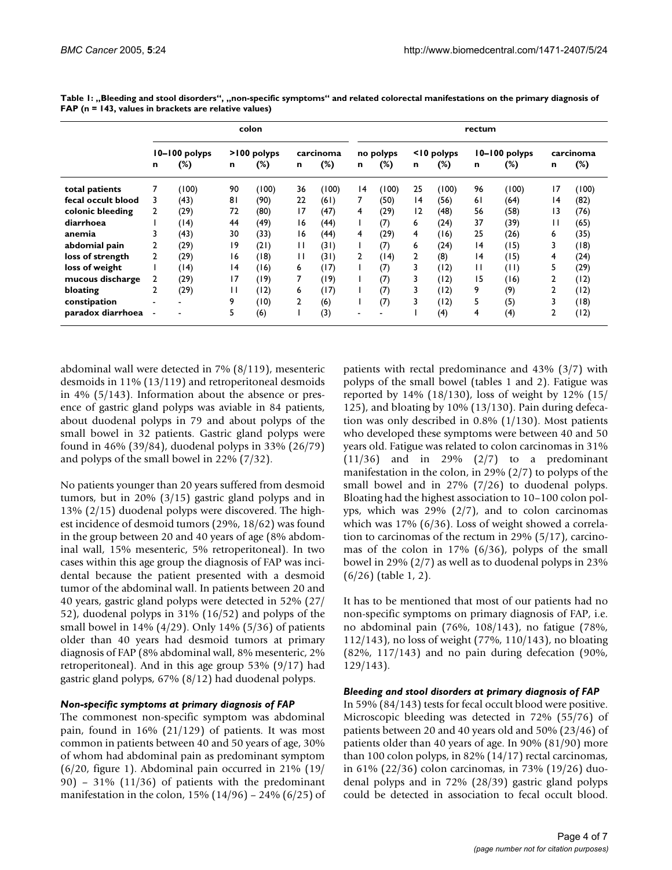|                    | colon         |       |             |        |                 |        | rectum          |        |            |        |               |        |                 |        |
|--------------------|---------------|-------|-------------|--------|-----------------|--------|-----------------|--------|------------|--------|---------------|--------|-----------------|--------|
|                    | 10-100 polyps |       | >100 polyps |        | carcinoma       |        | no polyps       |        | <10 polyps |        | 10-100 polyps |        | carcinoma       |        |
|                    | n             | (%)   | n           | $(\%)$ | n               | $(\%)$ | n               | $(\%)$ | n          | $(\%)$ | n             | $(\%)$ | n               | $(\%)$ |
| total patients     |               | (100) | 90          | (100)  | 36              | (100)  | $\overline{14}$ | (100)  | 25         | (100)  | 96            | (100)  | 17              | (100)  |
| fecal occult blood | 3             | (43)  | 81          | (90)   | 22              | (61)   | 7               | (50)   | 14         | (56)   | 61            | (64)   | $\overline{14}$ | (82)   |
| colonic bleeding   | 2             | (29)  | 72          | (80)   | $\overline{17}$ | (47)   | 4               | (29)   | 12         | (48)   | 56            | (58)   | $\overline{13}$ | (76)   |
| diarrhoea          |               | (14)  | 44          | (49)   | 16              | (44)   |                 | (7)    | 6          | (24)   | 37            | (39)   | П               | (65)   |
| anemia             | 3             | (43)  | 30          | (33)   | 16              | (44)   | 4               | (29)   | 4          | (16)   | 25            | (26)   | 6               | (35)   |
| abdomial pain      | 2             | (29)  | 19          | (21)   | $\mathbf{H}$    | (31)   |                 | (7)    | 6          | (24)   | 14            | (15)   | 3               | (18)   |
| loss of strength   | 2             | (29)  | 16          | (18)   | $\mathsf{L}$    | (31)   | 2               | (14)   | 2          | (8)    | 14            | (15)   | 4               | (24)   |
| loss of weight     |               | (14)  | 14          | (16)   | 6               | (17)   |                 | (7)    | 3          | (12)   | $\mathbf{H}$  | (11)   | 5               | (29)   |
| mucous discharge   | 2             | (29)  | 17          | (19)   | 7               | (19)   |                 | (7)    | 3          | (12)   | 15            | (16)   | 2               | (12)   |
| bloating           | 2             | (29)  | Н           | (12)   | 6               | (17)   |                 | (7)    | 3          | (12)   | 9             | (9)    | 2               | (12)   |
| constipation       | $\,$          | ٠     | 9           | (10)   | 2               | (6)    |                 | (7)    | 3          | (12)   | 5             | (5)    | 3               | (18)   |
| paradox diarrhoea  |               |       | 5           | (6)    |                 | (3)    | ۰               | -      |            | (4)    | 4             | (4)    | 2               | (12)   |

<span id="page-3-0"></span>Table 1: "Bleeding and stool disorders", "non-specific symptoms" and related colorectal manifestations on the primary diagnosis of **FAP (n = 143, values in brackets are relative values)**

abdominal wall were detected in 7% (8/119), mesenteric desmoids in 11% (13/119) and retroperitoneal desmoids in 4% (5/143). Information about the absence or presence of gastric gland polyps was aviable in 84 patients, about duodenal polyps in 79 and about polyps of the small bowel in 32 patients. Gastric gland polyps were found in 46% (39/84), duodenal polyps in 33% (26/79) and polyps of the small bowel in 22% (7/32).

No patients younger than 20 years suffered from desmoid tumors, but in 20% (3/15) gastric gland polyps and in 13% (2/15) duodenal polyps were discovered. The highest incidence of desmoid tumors (29%, 18/62) was found in the group between 20 and 40 years of age (8% abdominal wall, 15% mesenteric, 5% retroperitoneal). In two cases within this age group the diagnosis of FAP was incidental because the patient presented with a desmoid tumor of the abdominal wall. In patients between 20 and 40 years, gastric gland polyps were detected in 52% (27/ 52), duodenal polyps in 31% (16/52) and polyps of the small bowel in 14% (4/29). Only 14% (5/36) of patients older than 40 years had desmoid tumors at primary diagnosis of FAP (8% abdominal wall, 8% mesenteric, 2% retroperitoneal). And in this age group 53% (9/17) had gastric gland polyps, 67% (8/12) had duodenal polyps.

## *Non-specific symptoms at primary diagnosis of FAP*

The commonest non-specific symptom was abdominal pain, found in 16% (21/129) of patients. It was most common in patients between 40 and 50 years of age, 30% of whom had abdominal pain as predominant symptom (6/20, figure 1). Abdominal pain occurred in 21% (19/ $\sigma$ 90) – 31% (11/36) of patients with the predominant manifestation in the colon, 15% (14/96) – 24% (6/25) of patients with rectal predominance and 43% (3/7) with polyps of the small bowel (tables [1](#page-3-0) and [2\)](#page-4-0). Fatigue was reported by 14% (18/130), loss of weight by 12% (15/ 125), and bloating by 10% (13/130). Pain during defecation was only described in 0.8% (1/130). Most patients who developed these symptoms were between 40 and 50 years old. Fatigue was related to colon carcinomas in 31%  $(11/36)$  and in 29%  $(2/7)$  to a predominant manifestation in the colon, in 29% (2/7) to polyps of the small bowel and in 27% (7/26) to duodenal polyps. Bloating had the highest association to 10–100 colon polyps, which was 29% (2/7), and to colon carcinomas which was 17% (6/36). Loss of weight showed a correlation to carcinomas of the rectum in 29% (5/17), carcinomas of the colon in 17% (6/36), polyps of the small bowel in 29% (2/7) as well as to duodenal polyps in 23% (6/26) (table [1,](#page-3-0) [2](#page-4-0)).

It has to be mentioned that most of our patients had no non-specific symptoms on primary diagnosis of FAP, i.e. no abdominal pain (76%, 108/143), no fatigue (78%, 112/143), no loss of weight (77%, 110/143), no bloating (82%, 117/143) and no pain during defecation (90%, 129/143).

## *Bleeding and stool disorders at primary diagnosis of FAP*

In 59% (84/143) tests for fecal occult blood were positive. Microscopic bleeding was detected in 72% (55/76) of patients between 20 and 40 years old and 50% (23/46) of patients older than 40 years of age. In 90% (81/90) more than 100 colon polyps, in 82% (14/17) rectal carcinomas, in 61% (22/36) colon carcinomas, in 73% (19/26) duodenal polyps and in 72% (28/39) gastric gland polyps could be detected in association to fecal occult blood.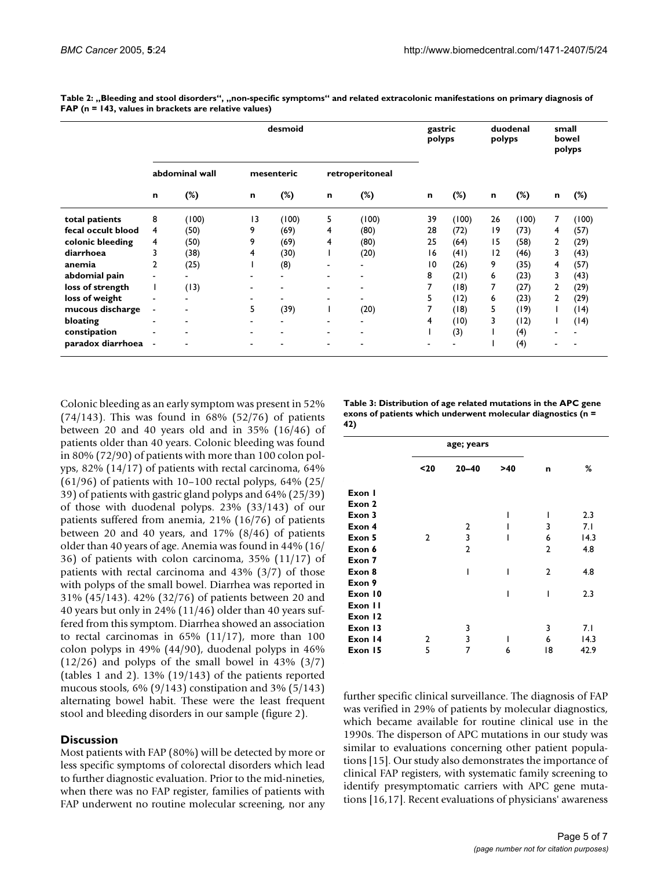|                    | desmoid                  |                |            |       |                 |       |                 | gastric<br>polyps |    | duodenal<br>polyps |   | small<br>bowel<br>polyps |  |
|--------------------|--------------------------|----------------|------------|-------|-----------------|-------|-----------------|-------------------|----|--------------------|---|--------------------------|--|
|                    |                          | abdominal wall | mesenteric |       | retroperitoneal |       |                 |                   |    |                    |   |                          |  |
|                    | n                        | $(\%)$         | n          | $(*)$ | n               | (%)   | n               | $(\%)$            | n  | $(\%)$             | n | $(\%)$                   |  |
| total patients     | 8                        | (100)          | 13         | (100) | 5               | (100) | 39              | (100)             | 26 | (100)              |   | (100)                    |  |
| fecal occult blood | 4                        | (50)           | 9          | (69)  | 4               | (80)  | 28              | (72)              | 19 | (73)               | 4 | (57)                     |  |
| colonic bleeding   | 4                        | (50)           | 9          | (69)  | 4               | (80)  | 25              | (64)              | 15 | (58)               | 2 | (29)                     |  |
| diarrhoea          | 3                        | (38)           | 4          | (30)  |                 | (20)  | 16              | (41)              | 12 | (46)               | 3 | (43)                     |  |
| anemia             | 2                        | (25)           |            | (8)   | ٠               |       | $\overline{10}$ | (26)              | 9  | (35)               | 4 | (57)                     |  |
| abdomial pain      | $\overline{\phantom{a}}$ |                |            |       |                 |       | 8               | (21)              | 6  | (23)               | 3 | (43)                     |  |
| loss of strength   |                          | (13)           | ۰          | -     | ٠               |       | 7               | (18)              |    | (27)               | 2 | (29)                     |  |
| loss of weight     |                          |                |            |       | -               |       | 5               | (12)              | 6  | (23)               | 2 | (29)                     |  |
| mucous discharge   |                          |                | 5          | (39)  |                 | (20)  | 7               | (18)              | 5  | (19)               |   | (14)                     |  |
| bloating           |                          |                |            |       | ٠               |       | 4               | (10)              | 3  | (12)               |   | (14)                     |  |
| constipation       |                          |                |            |       | ٠               |       |                 | (3)               |    | (4)                |   |                          |  |
| paradox diarrhoea  | $\sim$                   |                |            |       | ٠               |       |                 |                   |    | (4)                |   |                          |  |

<span id="page-4-0"></span>Table 2: "Bleeding and stool disorders", "non-specific symptoms" and related extracolonic manifestations on primary diagnosis of **FAP (n = 143, values in brackets are relative values)**

Colonic bleeding as an early symptom was present in 52%  $(74/143)$ . This was found in 68%  $(52/76)$  of patients between 20 and 40 years old and in 35% (16/46) of patients older than 40 years. Colonic bleeding was found in 80% (72/90) of patients with more than 100 colon polyps, 82% (14/17) of patients with rectal carcinoma, 64% (61/96) of patients with 10–100 rectal polyps, 64% (25/ 39) of patients with gastric gland polyps and 64% (25/39) of those with duodenal polyps. 23% (33/143) of our patients suffered from anemia, 21% (16/76) of patients between 20 and 40 years, and 17% (8/46) of patients older than 40 years of age. Anemia was found in 44% (16/ 36) of patients with colon carcinoma, 35% (11/17) of patients with rectal carcinoma and 43% (3/7) of those with polyps of the small bowel. Diarrhea was reported in 31% (45/143). 42% (32/76) of patients between 20 and 40 years but only in 24% (11/46) older than 40 years suffered from this symptom. Diarrhea showed an association to rectal carcinomas in  $65\%$  (11/17), more than 100 colon polyps in 49% (44/90), duodenal polyps in 46%  $(12/26)$  and polyps of the small bowel in 43%  $(3/7)$ (tables [1](#page-3-0) and [2](#page-4-0)). 13% (19/143) of the patients reported mucous stools,  $6\%$  (9/143) constipation and 3% (5/143) alternating bowel habit. These were the least frequent stool and bleeding disorders in our sample (figure 2).

## **Discussion**

Most patients with FAP (80%) will be detected by more or less specific symptoms of colorectal disorders which lead to further diagnostic evaluation. Prior to the mid-nineties, when there was no FAP register, families of patients with FAP underwent no routine molecular screening, nor any

<span id="page-4-1"></span>**Table 3: Distribution of age related mutations in the APC gene exons of patients which underwent molecular diagnostics (n = 42)**

|         |                | age; years     |     |                |      |
|---------|----------------|----------------|-----|----------------|------|
|         | $20$           | $20 - 40$      | >40 | n              | %    |
| Exon I  |                |                |     |                |      |
| Exon 2  |                |                |     |                |      |
| Exon 3  |                |                | ı   | ı              | 2.3  |
| Exon 4  |                | 2              |     | 3              | 7.1  |
| Exon 5  | 2              | 3              |     | 6              | 14.3 |
| Exon 6  |                | $\overline{2}$ |     | $\overline{2}$ | 4.8  |
| Exon 7  |                |                |     |                |      |
| Exon 8  |                | ı              |     | $\overline{2}$ | 4.8  |
| Exon 9  |                |                |     |                |      |
| Exon 10 |                |                | ı   | ı              | 2.3  |
| Exon II |                |                |     |                |      |
| Exon 12 |                |                |     |                |      |
| Exon 13 |                | 3              |     | 3              | 7.I  |
| Exon 14 | $\overline{2}$ | 3              |     | 6              | 14.3 |
| Exon 15 | 5              | 7              | 6   | 18             | 42.9 |

further specific clinical surveillance. The diagnosis of FAP was verified in 29% of patients by molecular diagnostics, which became available for routine clinical use in the 1990s. The disperson of APC mutations in our study was similar to evaluations concerning other patient populations [15]. Our study also demonstrates the importance of clinical FAP registers, with systematic family screening to identify presymptomatic carriers with APC gene mutations [16,17]. Recent evaluations of physicians' awareness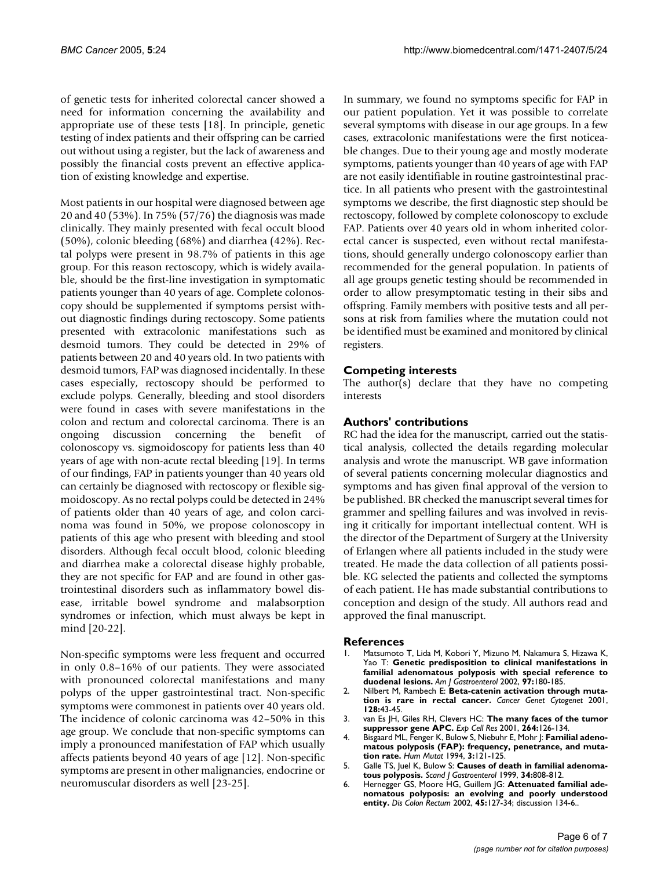of genetic tests for inherited colorectal cancer showed a need for information concerning the availability and appropriate use of these tests [18]. In principle, genetic testing of index patients and their offspring can be carried out without using a register, but the lack of awareness and possibly the financial costs prevent an effective application of existing knowledge and expertise.

Most patients in our hospital were diagnosed between age 20 and 40 (53%). In 75% (57/76) the diagnosis was made clinically. They mainly presented with fecal occult blood (50%), colonic bleeding (68%) and diarrhea (42%). Rectal polyps were present in 98.7% of patients in this age group. For this reason rectoscopy, which is widely available, should be the first-line investigation in symptomatic patients younger than 40 years of age. Complete colonoscopy should be supplemented if symptoms persist without diagnostic findings during rectoscopy. Some patients presented with extracolonic manifestations such as desmoid tumors. They could be detected in 29% of patients between 20 and 40 years old. In two patients with desmoid tumors, FAP was diagnosed incidentally. In these cases especially, rectoscopy should be performed to exclude polyps. Generally, bleeding and stool disorders were found in cases with severe manifestations in the colon and rectum and colorectal carcinoma. There is an ongoing discussion concerning the benefit of colonoscopy vs. sigmoidoscopy for patients less than 40 years of age with non-acute rectal bleeding [19]. In terms of our findings, FAP in patients younger than 40 years old can certainly be diagnosed with rectoscopy or flexible sigmoidoscopy. As no rectal polyps could be detected in 24% of patients older than 40 years of age, and colon carcinoma was found in 50%, we propose colonoscopy in patients of this age who present with bleeding and stool disorders. Although fecal occult blood, colonic bleeding and diarrhea make a colorectal disease highly probable, they are not specific for FAP and are found in other gastrointestinal disorders such as inflammatory bowel disease, irritable bowel syndrome and malabsorption syndromes or infection, which must always be kept in mind [20-22].

Non-specific symptoms were less frequent and occurred in only 0.8–16% of our patients. They were associated with pronounced colorectal manifestations and many polyps of the upper gastrointestinal tract. Non-specific symptoms were commonest in patients over 40 years old. The incidence of colonic carcinoma was 42–50% in this age group. We conclude that non-specific symptoms can imply a pronounced manifestation of FAP which usually affects patients beyond 40 years of age [12]. Non-specific symptoms are present in other malignancies, endocrine or neuromuscular disorders as well [23-25].

In summary, we found no symptoms specific for FAP in our patient population. Yet it was possible to correlate several symptoms with disease in our age groups. In a few cases, extracolonic manifestations were the first noticeable changes. Due to their young age and mostly moderate symptoms, patients younger than 40 years of age with FAP are not easily identifiable in routine gastrointestinal practice. In all patients who present with the gastrointestinal symptoms we describe, the first diagnostic step should be rectoscopy, followed by complete colonoscopy to exclude FAP. Patients over 40 years old in whom inherited colorectal cancer is suspected, even without rectal manifestations, should generally undergo colonoscopy earlier than recommended for the general population. In patients of all age groups genetic testing should be recommended in order to allow presymptomatic testing in their sibs and offspring. Family members with positive tests and all persons at risk from families where the mutation could not be identified must be examined and monitored by clinical registers.

## **Competing interests**

The author(s) declare that they have no competing interests

## **Authors' contributions**

RC had the idea for the manuscript, carried out the statistical analysis, collected the details regarding molecular analysis and wrote the manuscript. WB gave information of several patients concerning molecular diagnostics and symptoms and has given final approval of the version to be published. BR checked the manuscript several times for grammer and spelling failures and was involved in revising it critically for important intellectual content. WH is the director of the Department of Surgery at the University of Erlangen where all patients included in the study were treated. He made the data collection of all patients possible. KG selected the patients and collected the symptoms of each patient. He has made substantial contributions to conception and design of the study. All authors read and approved the final manuscript.

## **References**

- 1. Matsumoto T, Lida M, Kobori Y, Mizuno M, Nakamura S, Hizawa K, Yao T: **[Genetic predisposition to clinical manifestations in](http://www.ncbi.nlm.nih.gov/entrez/query.fcgi?cmd=Retrieve&db=PubMed&dopt=Abstract&list_uids=11808944) [familial adenomatous polyposis with special reference to](http://www.ncbi.nlm.nih.gov/entrez/query.fcgi?cmd=Retrieve&db=PubMed&dopt=Abstract&list_uids=11808944) [duodenal lesions.](http://www.ncbi.nlm.nih.gov/entrez/query.fcgi?cmd=Retrieve&db=PubMed&dopt=Abstract&list_uids=11808944)** *Am J Gastroenterol* 2002, **97:**180-185.
- 2. Nilbert M, Rambech E: **[Beta-catenin activation through muta](http://www.ncbi.nlm.nih.gov/entrez/query.fcgi?cmd=Retrieve&db=PubMed&dopt=Abstract&list_uids=11454429)[tion is rare in rectal cancer.](http://www.ncbi.nlm.nih.gov/entrez/query.fcgi?cmd=Retrieve&db=PubMed&dopt=Abstract&list_uids=11454429)** *Cancer Genet Cytogenet* 2001, **128:**43-45.
- 3. van Es JH, Giles RH, Clevers HC: **[The many faces of the tumor](http://www.ncbi.nlm.nih.gov/entrez/query.fcgi?cmd=Retrieve&db=PubMed&dopt=Abstract&list_uids=11237529) [suppressor gene APC.](http://www.ncbi.nlm.nih.gov/entrez/query.fcgi?cmd=Retrieve&db=PubMed&dopt=Abstract&list_uids=11237529)** *Exp Cell Res* 2001, **264:**126-134.
- 4. Bisgaard ML, Fenger K, Bulow S, Niebuhr E, Mohr J: **[Familial adeno](http://www.ncbi.nlm.nih.gov/entrez/query.fcgi?cmd=Retrieve&db=PubMed&dopt=Abstract&list_uids=8199592)[matous polyposis \(FAP\): frequency, penetrance, and muta](http://www.ncbi.nlm.nih.gov/entrez/query.fcgi?cmd=Retrieve&db=PubMed&dopt=Abstract&list_uids=8199592)[tion rate.](http://www.ncbi.nlm.nih.gov/entrez/query.fcgi?cmd=Retrieve&db=PubMed&dopt=Abstract&list_uids=8199592)** *Hum Mutat* 1994, **3:**121-125.
- 5. Galle TS, Juel K, Bulow S: **[Causes of death in familial adenoma](http://www.ncbi.nlm.nih.gov/entrez/query.fcgi?cmd=Retrieve&db=PubMed&dopt=Abstract&list_uids=10499482)[tous polyposis.](http://www.ncbi.nlm.nih.gov/entrez/query.fcgi?cmd=Retrieve&db=PubMed&dopt=Abstract&list_uids=10499482)** *Scand J Gastroenterol* 1999, **34:**808-812.
- 6. Hernegger GS, Moore HG, Guillem JG: **[Attenuated familial ade](http://www.ncbi.nlm.nih.gov/entrez/query.fcgi?cmd=Retrieve&db=PubMed&dopt=Abstract&list_uids=11786778)[nomatous polyposis: an evolving and poorly understood](http://www.ncbi.nlm.nih.gov/entrez/query.fcgi?cmd=Retrieve&db=PubMed&dopt=Abstract&list_uids=11786778) [entity.](http://www.ncbi.nlm.nih.gov/entrez/query.fcgi?cmd=Retrieve&db=PubMed&dopt=Abstract&list_uids=11786778)** *Dis Colon Rectum* 2002, **45:**127-34; discussion 134-6..